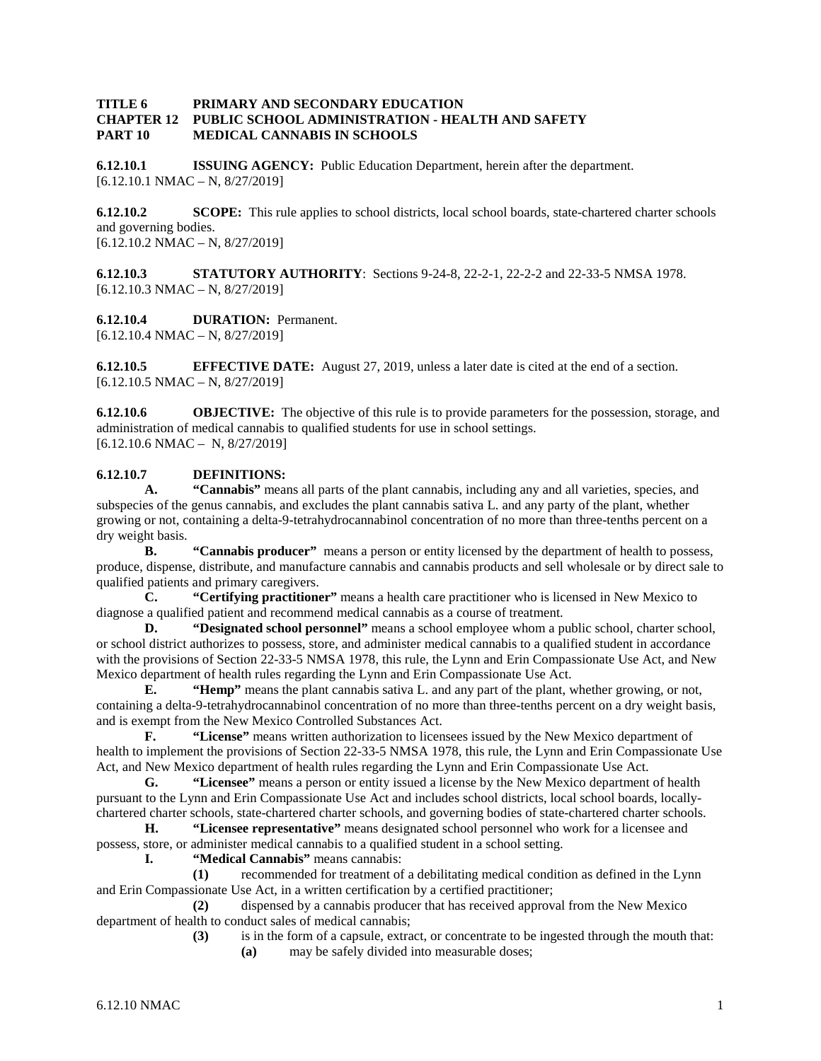#### **TITLE 6 PRIMARY AND SECONDARY EDUCATION CHAPTER 12 PUBLIC SCHOOL ADMINISTRATION - HEALTH AND SAFETY PART 10 MEDICAL CANNABIS IN SCHOOLS**

**6.12.10.1 ISSUING AGENCY:** Public Education Department, herein after the department.  $[6.12.10.1 \text{ NMAC} - \text{N}, 8/27/2019]$ 

**6.12.10.2 SCOPE:** This rule applies to school districts, local school boards, state-chartered charter schools and governing bodies.  $[6.12.10.2 \text{ NMAC} - \text{N}, 8/27/2019]$ 

**6.12.10.3 STATUTORY AUTHORITY**: Sections 9-24-8, 22-2-1, 22-2-2 and 22-33-5 NMSA 1978.  $[6.12.10.3 \text{ NMAC} - \text{N}, 8/27/2019]$ 

**6.12.10.4 DURATION:** Permanent.  $[6.12.10.4 \text{ NMAC} - \text{N}, 8/27/2019]$ 

**6.12.10.5 EFFECTIVE DATE:** August 27, 2019, unless a later date is cited at the end of a section.  $[6.12.10.5 \text{ NMAC} - \text{N}, 8/27/2019]$ 

**6.12.10.6 OBJECTIVE:** The objective of this rule is to provide parameters for the possession, storage, and administration of medical cannabis to qualified students for use in school settings. [6.12.10.6 NMAC – N, 8/27/2019]

### **6.12.10.7 DEFINITIONS:**

**A. "Cannabis"** means all parts of the plant cannabis, including any and all varieties, species, and subspecies of the genus cannabis, and excludes the plant cannabis sativa L. and any party of the plant, whether growing or not, containing a delta-9-tetrahydrocannabinol concentration of no more than three-tenths percent on a dry weight basis.

**B. "Cannabis producer"** means a person or entity licensed by the department of health to possess, produce, dispense, distribute, and manufacture cannabis and cannabis products and sell wholesale or by direct sale to qualified patients and primary caregivers.

**C. "Certifying practitioner"** means a health care practitioner who is licensed in New Mexico to diagnose a qualified patient and recommend medical cannabis as a course of treatment.

**D. "Designated school personnel"** means a school employee whom a public school, charter school, or school district authorizes to possess, store, and administer medical cannabis to a qualified student in accordance with the provisions of Section 22-33-5 NMSA 1978, this rule, the Lynn and Erin Compassionate Use Act, and New Mexico department of health rules regarding the Lynn and Erin Compassionate Use Act.

**E. "Hemp"** means the plant cannabis sativa L. and any part of the plant, whether growing, or not, containing a delta-9-tetrahydrocannabinol concentration of no more than three-tenths percent on a dry weight basis, and is exempt from the New Mexico Controlled Substances Act.

**F. "License"** means written authorization to licensees issued by the New Mexico department of health to implement the provisions of Section 22-33-5 NMSA 1978, this rule, the Lynn and Erin Compassionate Use Act, and New Mexico department of health rules regarding the Lynn and Erin Compassionate Use Act.

**G. "Licensee"** means a person or entity issued a license by the New Mexico department of health pursuant to the Lynn and Erin Compassionate Use Act and includes school districts, local school boards, locallychartered charter schools, state-chartered charter schools, and governing bodies of state-chartered charter schools.

**H. "Licensee representative"** means designated school personnel who work for a licensee and possess, store, or administer medical cannabis to a qualified student in a school setting.

**I. "Medical Cannabis"** means cannabis:

**(1)** recommended for treatment of a debilitating medical condition as defined in the Lynn and Erin Compassionate Use Act, in a written certification by a certified practitioner;

**(2)** dispensed by a cannabis producer that has received approval from the New Mexico department of health to conduct sales of medical cannabis;

**(3)** is in the form of a capsule, extract, or concentrate to be ingested through the mouth that:

**(a)** may be safely divided into measurable doses;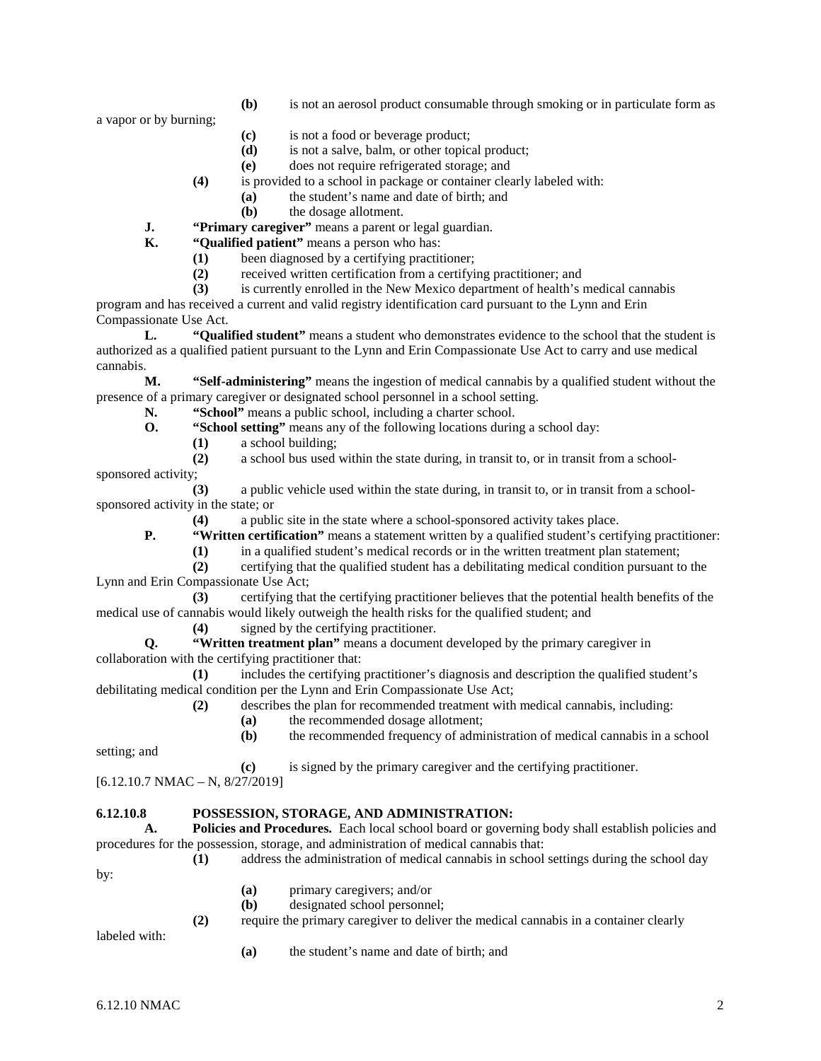**(b)** is not an aerosol product consumable through smoking or in particulate form as

a vapor or by burning;

- **(c)** is not a food or beverage product;
- **(d)** is not a salve, balm, or other topical product;
- **(e)** does not require refrigerated storage; and
- **(4)** is provided to a school in package or container clearly labeled with:
	- **(a)** the student's name and date of birth; and
	- **(b)** the dosage allotment.
- **J. "Primary caregiver"** means a parent or legal guardian.<br>**K. "Oualified patient"** means a person who has:

**K. "Qualified patient"** means a person who has:

- **(1)** been diagnosed by a certifying practitioner;
	- (2) received written certification from a certifying practitioner; and is currently enrolled in the New Mexico department of health's i

**(3)** is currently enrolled in the New Mexico department of health's medical cannabis

program and has received a current and valid registry identification card pursuant to the Lynn and Erin Compassionate Use Act.

**L. "Qualified student"** means a student who demonstrates evidence to the school that the student is authorized as a qualified patient pursuant to the Lynn and Erin Compassionate Use Act to carry and use medical cannabis.

**M. "Self-administering"** means the ingestion of medical cannabis by a qualified student without the presence of a primary caregiver or designated school personnel in a school setting.

**N. "School"** means a public school, including a charter school.

- **O. "School setting"** means any of the following locations during a school day:
	- **(1)** a school building;
	- **(2)** a school bus used within the state during, in transit to, or in transit from a school-
- sponsored activity;

**(3)** a public vehicle used within the state during, in transit to, or in transit from a schoolsponsored activity in the state; or

**(4)** a public site in the state where a school-sponsored activity takes place.

**P. "Written certification"** means a statement written by a qualified student's certifying practitioner:

- **(1)** in a qualified student's medical records or in the written treatment plan statement;
- **(2)** certifying that the qualified student has a debilitating medical condition pursuant to the Lynn and Erin Compassionate Use Act;

**(3)** certifying that the certifying practitioner believes that the potential health benefits of the medical use of cannabis would likely outweigh the health risks for the qualified student; and

**(4)** signed by the certifying practitioner.

**Q. "Written treatment plan"** means a document developed by the primary caregiver in collaboration with the certifying practitioner that:

**(1)** includes the certifying practitioner's diagnosis and description the qualified student's debilitating medical condition per the Lynn and Erin Compassionate Use Act;

- **(2)** describes the plan for recommended treatment with medical cannabis, including:
	- **(a)** the recommended dosage allotment;
	- **(b)** the recommended frequency of administration of medical cannabis in a school

setting; and

**(c)** is signed by the primary caregiver and the certifying practitioner.

[6.12.10.7 NMAC – N, 8/27/2019]

### **6.12.10.8 POSSESSION, STORAGE, AND ADMINISTRATION:**

**A. Policies and Procedures.** Each local school board or governing body shall establish policies and procedures for the possession, storage, and administration of medical cannabis that:

- **(1)** address the administration of medical cannabis in school settings during the school day by:
	- **(a)** primary caregivers; and/or
	- **(b)** designated school personnel;
	- **(2)** require the primary caregiver to deliver the medical cannabis in a container clearly

labeled with:

**(a)** the student's name and date of birth; and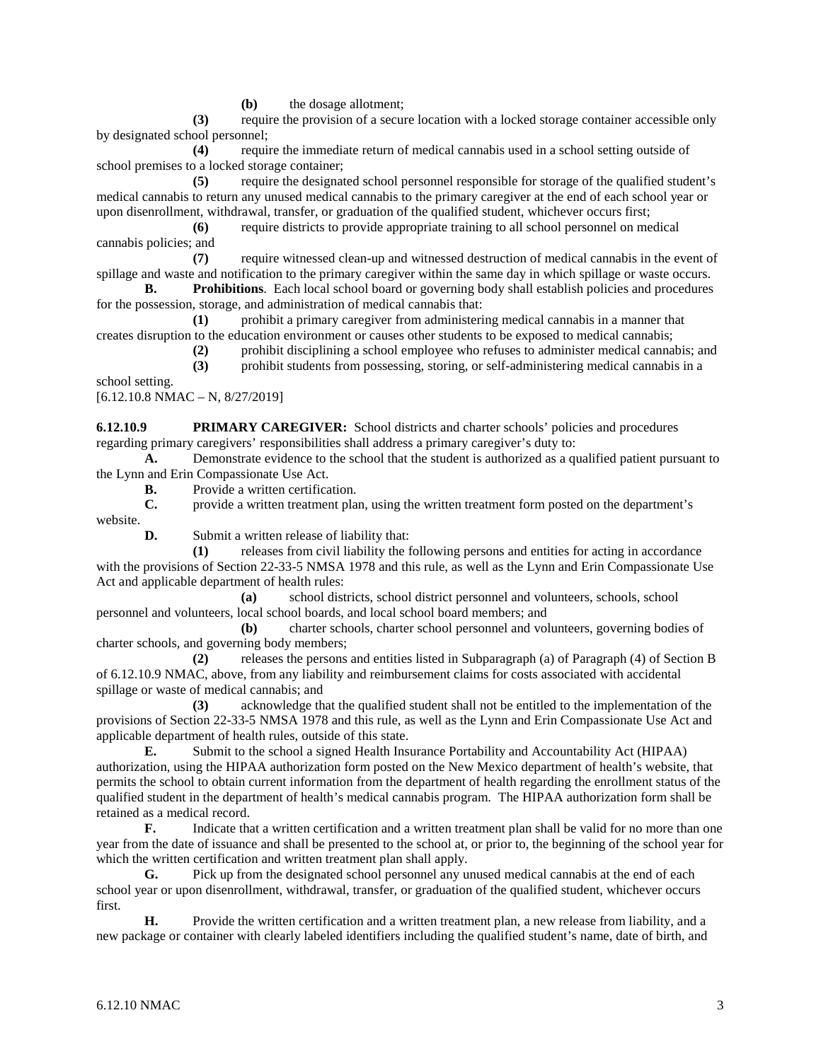**(b)** the dosage allotment;

**(3)** require the provision of a secure location with a locked storage container accessible only by designated school personnel;

**(4)** require the immediate return of medical cannabis used in a school setting outside of school premises to a locked storage container;

**(5)** require the designated school personnel responsible for storage of the qualified student's medical cannabis to return any unused medical cannabis to the primary caregiver at the end of each school year or upon disenrollment, withdrawal, transfer, or graduation of the qualified student, whichever occurs first;

**(6)** require districts to provide appropriate training to all school personnel on medical cannabis policies; and

**(7)** require witnessed clean-up and witnessed destruction of medical cannabis in the event of spillage and waste and notification to the primary caregiver within the same day in which spillage or waste occurs.

**B. Prohibitions**. Each local school board or governing body shall establish policies and procedures for the possession, storage, and administration of medical cannabis that:

**(1)** prohibit a primary caregiver from administering medical cannabis in a manner that creates disruption to the education environment or causes other students to be exposed to medical cannabis;

**(2)** prohibit disciplining a school employee who refuses to administer medical cannabis; and

**(3)** prohibit students from possessing, storing, or self-administering medical cannabis in a

school setting.

 $[6.12.10.8 \text{ NMAC} - \text{N}, 8/27/2019]$ 

**6.12.10.9 PRIMARY CAREGIVER:** School districts and charter schools' policies and procedures regarding primary caregivers' responsibilities shall address a primary caregiver's duty to:

**A.** Demonstrate evidence to the school that the student is authorized as a qualified patient pursuant to the Lynn and Erin Compassionate Use Act.

**B.** Provide a written certification.

**C.** provide a written treatment plan, using the written treatment form posted on the department's website.

**D.** Submit a written release of liability that:

**(1)** releases from civil liability the following persons and entities for acting in accordance with the provisions of Section 22-33-5 NMSA 1978 and this rule, as well as the Lynn and Erin Compassionate Use Act and applicable department of health rules:

**(a)** school districts, school district personnel and volunteers, schools, school personnel and volunteers, local school boards, and local school board members; and

**(b)** charter schools, charter school personnel and volunteers, governing bodies of charter schools, and governing body members;

**(2)** releases the persons and entities listed in Subparagraph (a) of Paragraph (4) of Section B of 6.12.10.9 NMAC, above, from any liability and reimbursement claims for costs associated with accidental spillage or waste of medical cannabis; and

**(3)** acknowledge that the qualified student shall not be entitled to the implementation of the provisions of Section 22-33-5 NMSA 1978 and this rule, as well as the Lynn and Erin Compassionate Use Act and applicable department of health rules, outside of this state.

**E.** Submit to the school a signed Health Insurance Portability and Accountability Act (HIPAA) authorization, using the HIPAA authorization form posted on the New Mexico department of health's website, that permits the school to obtain current information from the department of health regarding the enrollment status of the qualified student in the department of health's medical cannabis program. The HIPAA authorization form shall be retained as a medical record.

**F.** Indicate that a written certification and a written treatment plan shall be valid for no more than one year from the date of issuance and shall be presented to the school at, or prior to, the beginning of the school year for which the written certification and written treatment plan shall apply.

**G.** Pick up from the designated school personnel any unused medical cannabis at the end of each school year or upon disenrollment, withdrawal, transfer, or graduation of the qualified student, whichever occurs first.

**H.** Provide the written certification and a written treatment plan, a new release from liability, and a new package or container with clearly labeled identifiers including the qualified student's name, date of birth, and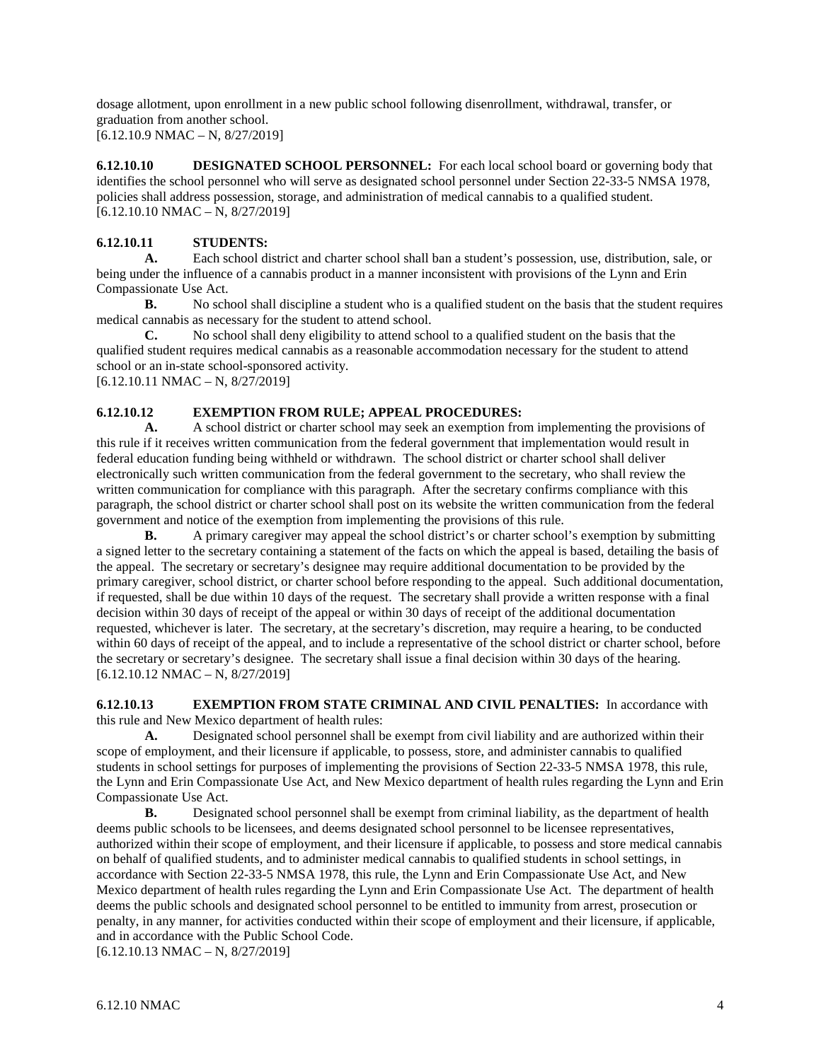dosage allotment, upon enrollment in a new public school following disenrollment, withdrawal, transfer, or graduation from another school. [6.12.10.9 NMAC – N, 8/27/2019]

**6.12.10.10 DESIGNATED SCHOOL PERSONNEL:** For each local school board or governing body that identifies the school personnel who will serve as designated school personnel under Section 22-33-5 NMSA 1978, policies shall address possession, storage, and administration of medical cannabis to a qualified student. [6.12.10.10 NMAC – N, 8/27/2019]

# **6.12.10.11 STUDENTS:**

**A.** Each school district and charter school shall ban a student's possession, use, distribution, sale, or being under the influence of a cannabis product in a manner inconsistent with provisions of the Lynn and Erin Compassionate Use Act.

**B.** No school shall discipline a student who is a qualified student on the basis that the student requires medical cannabis as necessary for the student to attend school.

**C.** No school shall deny eligibility to attend school to a qualified student on the basis that the qualified student requires medical cannabis as a reasonable accommodation necessary for the student to attend school or an in-state school-sponsored activity.

 $[6.12.10.11 \text{ NMAC} - \text{N}, 8/27/2019]$ 

# **6.12.10.12 EXEMPTION FROM RULE; APPEAL PROCEDURES:**

**A.** A school district or charter school may seek an exemption from implementing the provisions of this rule if it receives written communication from the federal government that implementation would result in federal education funding being withheld or withdrawn. The school district or charter school shall deliver electronically such written communication from the federal government to the secretary, who shall review the written communication for compliance with this paragraph. After the secretary confirms compliance with this paragraph, the school district or charter school shall post on its website the written communication from the federal government and notice of the exemption from implementing the provisions of this rule.

**B.** A primary caregiver may appeal the school district's or charter school's exemption by submitting a signed letter to the secretary containing a statement of the facts on which the appeal is based, detailing the basis of the appeal. The secretary or secretary's designee may require additional documentation to be provided by the primary caregiver, school district, or charter school before responding to the appeal. Such additional documentation, if requested, shall be due within 10 days of the request. The secretary shall provide a written response with a final decision within 30 days of receipt of the appeal or within 30 days of receipt of the additional documentation requested, whichever is later. The secretary, at the secretary's discretion, may require a hearing, to be conducted within 60 days of receipt of the appeal, and to include a representative of the school district or charter school, before the secretary or secretary's designee. The secretary shall issue a final decision within 30 days of the hearing. [6.12.10.12 NMAC – N, 8/27/2019]

**6.12.10.13 EXEMPTION FROM STATE CRIMINAL AND CIVIL PENALTIES:** In accordance with this rule and New Mexico department of health rules:

**A.** Designated school personnel shall be exempt from civil liability and are authorized within their scope of employment, and their licensure if applicable, to possess, store, and administer cannabis to qualified students in school settings for purposes of implementing the provisions of Section 22-33-5 NMSA 1978, this rule, the Lynn and Erin Compassionate Use Act, and New Mexico department of health rules regarding the Lynn and Erin Compassionate Use Act.

**B.** Designated school personnel shall be exempt from criminal liability, as the department of health deems public schools to be licensees, and deems designated school personnel to be licensee representatives, authorized within their scope of employment, and their licensure if applicable, to possess and store medical cannabis on behalf of qualified students, and to administer medical cannabis to qualified students in school settings, in accordance with Section 22-33-5 NMSA 1978, this rule, the Lynn and Erin Compassionate Use Act, and New Mexico department of health rules regarding the Lynn and Erin Compassionate Use Act. The department of health deems the public schools and designated school personnel to be entitled to immunity from arrest, prosecution or penalty, in any manner, for activities conducted within their scope of employment and their licensure, if applicable, and in accordance with the Public School Code. [6.12.10.13 NMAC – N, 8/27/2019]

6.12.10 NMAC  $\sim$  4